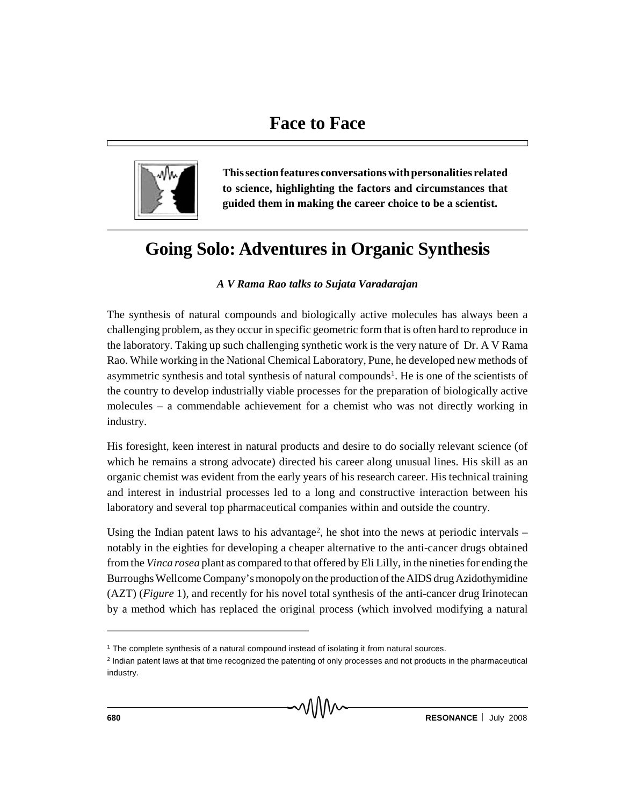

**Thissection featuresconversations withpersonalities related to science, highlighting the factors and circumstances that guided them in making the career choice to be a scientist.**

# **Going Solo: Adventures in Organic Synthesis**

# *A V Rama Rao talks to Sujata Varadarajan*

The synthesis of natural compounds and biologically active molecules has always been a challenging problem, as they occur in specific geometric form that is often hard to reproduce in the laboratory. Taking up such challenging synthetic work is the very nature of Dr. A V Rama Rao. While working in the National Chemical Laboratory, Pune, he developed new methods of asymmetric synthesis and total synthesis of natural compounds<sup>1</sup>. He is one of the scientists of the country to develop industrially viable processes for the preparation of biologically active molecules – a commendable achievement for a chemist who was not directly working in industry.

His foresight, keen interest in natural products and desire to do socially relevant science (of which he remains a strong advocate) directed his career along unusual lines. His skill as an organic chemist was evident from the early years of his research career. His technical training and interest in industrial processes led to a long and constructive interaction between his laboratory and several top pharmaceutical companies within and outside the country.

Using the Indian patent laws to his advantage<sup>2</sup>, he shot into the news at periodic intervals  $$ notably in the eighties for developing a cheaper alternative to the anti-cancer drugs obtained from the *Vinca rosea* plant as compared to that offered by Eli Lilly, in the nineties for ending the Burroughs Wellcome Company's monopoly on the production of the AIDS drug Azidothymidine (AZT) (*Figure* 1), and recently for his novel total synthesis of the anti-cancer drug Irinotecan by a method which has replaced the original process (which involved modifying a natural

<sup>&</sup>lt;sup>1</sup> The complete synthesis of a natural compound instead of isolating it from natural sources.

<sup>&</sup>lt;sup>2</sup> Indian patent laws at that time recognized the patenting of only processes and not products in the pharmaceutical industry.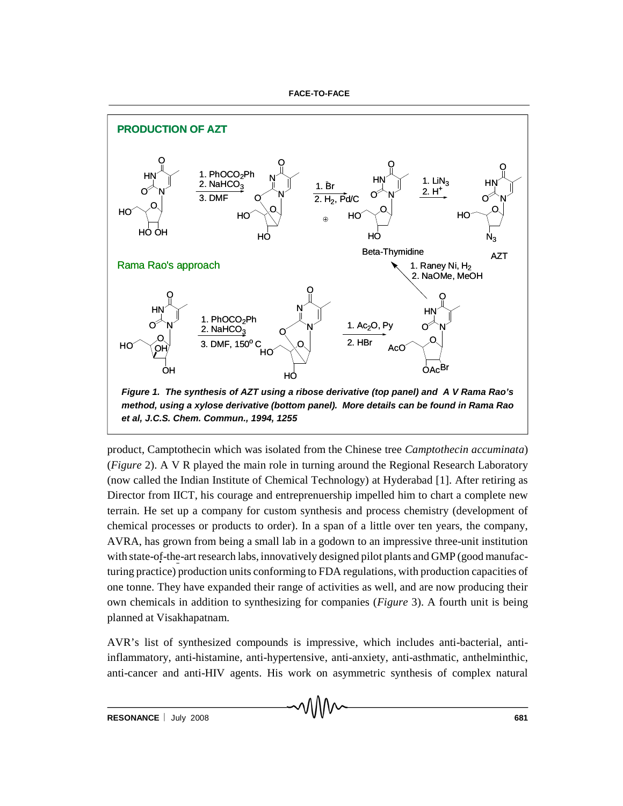



**.** with state-of-the-art research labs, innovatively designed pilot plants and GMP (good manufacproduct, Camptothecin which was isolated from the Chinese tree *Camptothecin accuminata*) (*Figure* 2). A V R played the main role in turning around the Regional Research Laboratory (now called the Indian Institute of Chemical Technology) at Hyderabad [1]. After retiring as Director from IICT, his courage and entreprenuership impelled him to chart a complete new terrain. He set up a company for custom synthesis and process chemistry (development of chemical processes or products to order). In a span of a little over ten years, the company, AVRA, has grown from being a small lab in a godown to an impressive three-unit institution turing practice) production units conforming to FDA regulations, with production capacities of one tonne. They have expanded their range of activities as well, and are now producing their own chemicals in addition to synthesizing for companies (*Figure* 3). A fourth unit is being planned at Visakhapatnam.

AVR's list of synthesized compounds is impressive, which includes anti-bacterial, antiinflammatory, anti-histamine, anti-hypertensive, anti-anxiety, anti-asthmatic, anthelminthic, anti-cancer and anti-HIV agents. His work on asymmetric synthesis of complex natural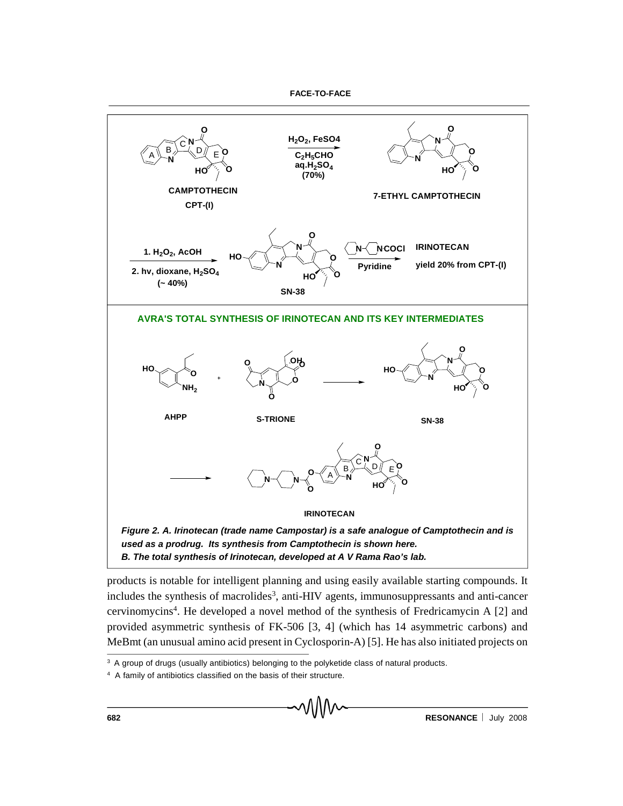

products is notable for intelligent planning and using easily available starting compounds. It includes the synthesis of macrolides<sup>3</sup>, anti-HIV agents, immunosuppressants and anti-cancer cervinomycins<sup>4</sup>. He developed a novel method of the synthesis of Fredricamycin A [2] and provided asymmetric synthesis of FK-506 [3, 4] (which has 14 asymmetric carbons) and MeBmt (an unusual amino acid present in Cyclosporin-A) [5]. He has also initiated projects on

<sup>&</sup>lt;sup>3</sup> A group of drugs (usually antibiotics) belonging to the polyketide class of natural products.

<sup>4</sup> A family of antibiotics classified on the basis of their structure.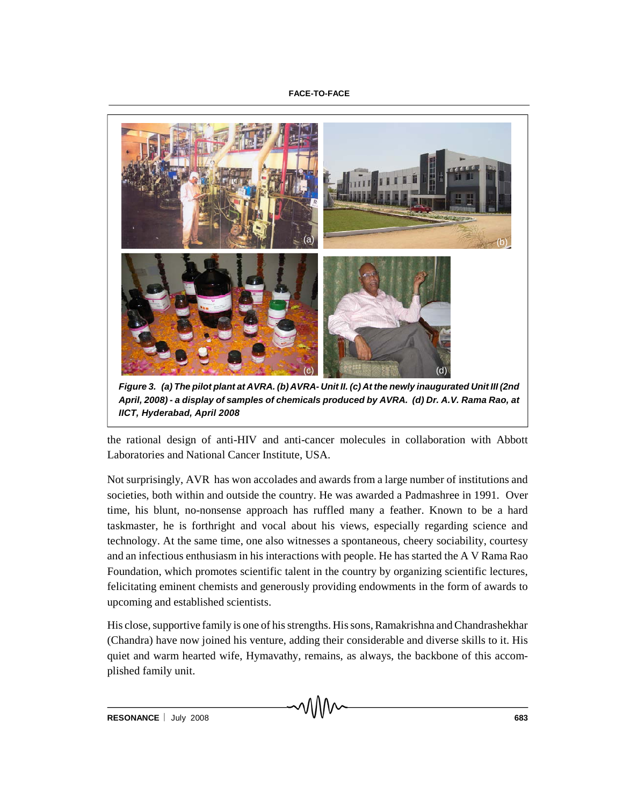

*Figure 3. (a) The pilot plant at AVRA. (b) AVRA- Unit II. (c) At the newly inaugurated Unit III (2nd April, 2008) - a display of samples of chemicals produced by AVRA. (d) Dr. A.V. Rama Rao, at IICT, Hyderabad, April 2008*

the rational design of anti-HIV and anti-cancer molecules in collaboration with Abbott Laboratories and National Cancer Institute, USA.

Not surprisingly, AVR has won accolades and awards from a large number of institutions and societies, both within and outside the country. He was awarded a Padmashree in 1991. Over time, his blunt, no-nonsense approach has ruffled many a feather. Known to be a hard taskmaster, he is forthright and vocal about his views, especially regarding science and technology. At the same time, one also witnesses a spontaneous, cheery sociability, courtesy and an infectious enthusiasm in his interactions with people. He has started the A V Rama Rao Foundation, which promotes scientific talent in the country by organizing scientific lectures, felicitating eminent chemists and generously providing endowments in the form of awards to upcoming and established scientists.

His close, supportive family is one of his strengths. His sons, Ramakrishna and Chandrashekhar (Chandra) have now joined his venture, adding their considerable and diverse skills to it. His quiet and warm hearted wife, Hymavathy, remains, as always, the backbone of this accomplished family unit.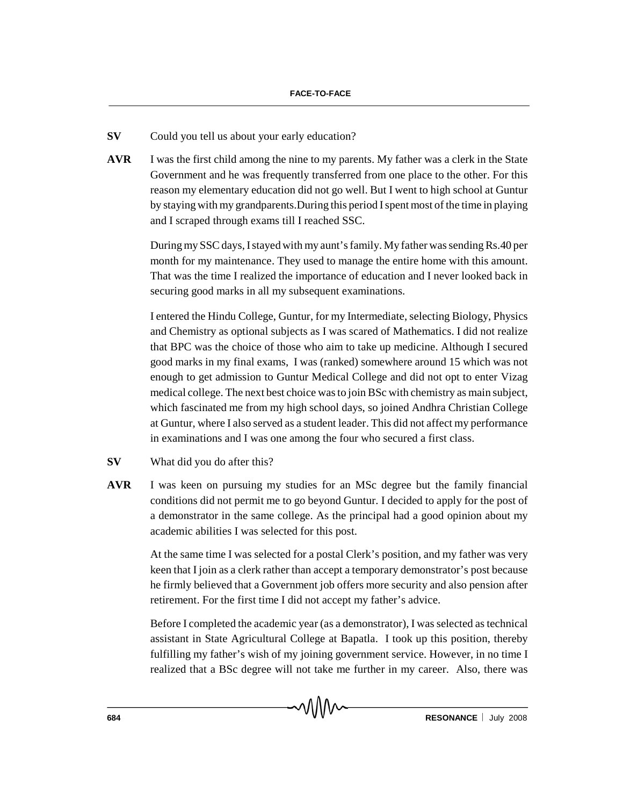- **SV** Could you tell us about your early education?
- **AVR** I was the first child among the nine to my parents. My father was a clerk in the State Government and he was frequently transferred from one place to the other. For this reason my elementary education did not go well. But I went to high school at Guntur by staying with my grandparents.During this period I spent most of the time in playing and I scraped through exams till I reached SSC.

During my SSC days, I stayed with my aunt's family. My father was sending Rs.40 per month for my maintenance. They used to manage the entire home with this amount. That was the time I realized the importance of education and I never looked back in securing good marks in all my subsequent examinations.

I entered the Hindu College, Guntur, for my Intermediate, selecting Biology, Physics and Chemistry as optional subjects as I was scared of Mathematics. I did not realize that BPC was the choice of those who aim to take up medicine. Although I secured good marks in my final exams, I was (ranked) somewhere around 15 which was not enough to get admission to Guntur Medical College and did not opt to enter Vizag medical college. The next best choice was to join BSc with chemistry as main subject, which fascinated me from my high school days, so joined Andhra Christian College at Guntur, where I also served as a student leader. This did not affect my performance in examinations and I was one among the four who secured a first class.

- **SV** What did you do after this?
- **AVR** I was keen on pursuing my studies for an MSc degree but the family financial conditions did not permit me to go beyond Guntur. I decided to apply for the post of a demonstrator in the same college. As the principal had a good opinion about my academic abilities I was selected for this post.

At the same time I was selected for a postal Clerk's position, and my father was very keen that I join as a clerk rather than accept a temporary demonstrator's post because he firmly believed that a Government job offers more security and also pension after retirement. For the first time I did not accept my father's advice.

Before I completed the academic year (as a demonstrator), I was selected as technical assistant in State Agricultural College at Bapatla. I took up this position, thereby fulfilling my father's wish of my joining government service. However, in no time I realized that a BSc degree will not take me further in my career. Also, there was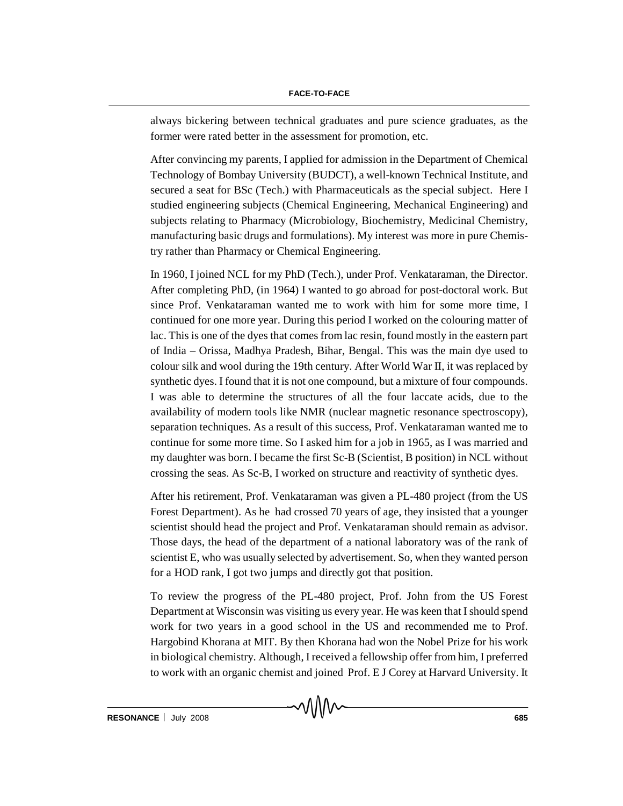always bickering between technical graduates and pure science graduates, as the former were rated better in the assessment for promotion, etc.

After convincing my parents, I applied for admission in the Department of Chemical Technology of Bombay University (BUDCT), a well-known Technical Institute, and secured a seat for BSc (Tech.) with Pharmaceuticals as the special subject. Here I studied engineering subjects (Chemical Engineering, Mechanical Engineering) and subjects relating to Pharmacy (Microbiology, Biochemistry, Medicinal Chemistry, manufacturing basic drugs and formulations). My interest was more in pure Chemistry rather than Pharmacy or Chemical Engineering.

In 1960, I joined NCL for my PhD (Tech.), under Prof. Venkataraman, the Director. After completing PhD, (in 1964) I wanted to go abroad for post-doctoral work. But since Prof. Venkataraman wanted me to work with him for some more time, I continued for one more year. During this period I worked on the colouring matter of lac. This is one of the dyes that comes from lac resin, found mostly in the eastern part of India – Orissa, Madhya Pradesh, Bihar, Bengal. This was the main dye used to colour silk and wool during the 19th century. After World War II, it was replaced by synthetic dyes. I found that it is not one compound, but a mixture of four compounds. I was able to determine the structures of all the four laccate acids, due to the availability of modern tools like NMR (nuclear magnetic resonance spectroscopy), separation techniques. As a result of this success, Prof. Venkataraman wanted me to continue for some more time. So I asked him for a job in 1965, as I was married and my daughter was born. I became the first Sc-B (Scientist, B position) in NCL without crossing the seas. As Sc-B, I worked on structure and reactivity of synthetic dyes.

After his retirement, Prof. Venkataraman was given a PL-480 project (from the US Forest Department). As he had crossed 70 years of age, they insisted that a younger scientist should head the project and Prof. Venkataraman should remain as advisor. Those days, the head of the department of a national laboratory was of the rank of scientist E, who was usually selected by advertisement. So, when they wanted person for a HOD rank, I got two jumps and directly got that position.

To review the progress of the PL-480 project, Prof. John from the US Forest Department at Wisconsin was visiting us every year. He was keen that I should spend work for two years in a good school in the US and recommended me to Prof. Hargobind Khorana at MIT. By then Khorana had won the Nobel Prize for his work in biological chemistry. Although, I received a fellowship offer from him, I preferred to work with an organic chemist and joined Prof. E J Corey at Harvard University. It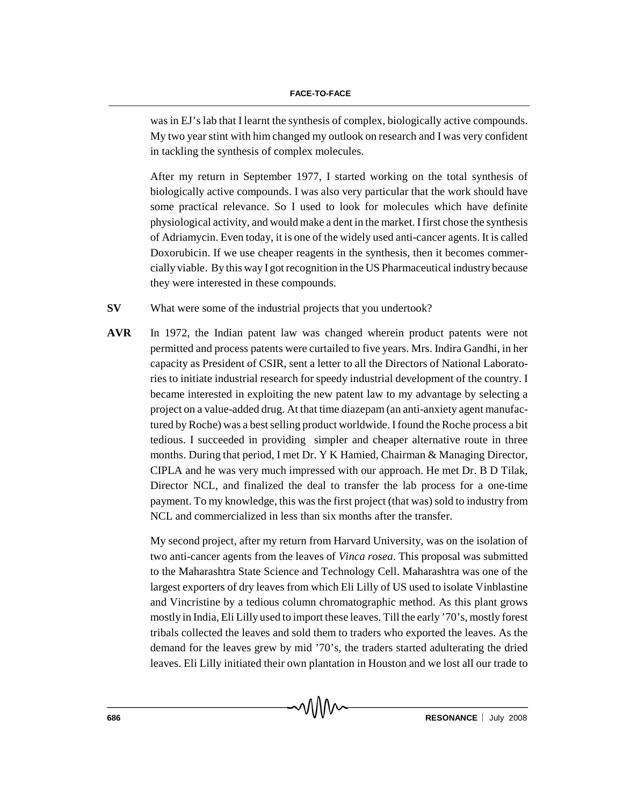was in EJ's lab that I learnt the synthesis of complex, biologically active compounds. My two year stint with him changed my outlook on research and I was very confident in tackling the synthesis of complex molecules.

After my return in September 1977, I started working on the total synthesis of biologically active compounds. I was also very particular that the work should have some practical relevance. So I used to look for molecules which have definite physiological activity, and would make a dent in the market. I first chose the synthesis of Adriamycin. Even today, it is one of the widely used anti-cancer agents. It is called Doxorubicin. If we use cheaper reagents in the synthesis, then it becomes commercially viable. By this way I got recognition in the US Pharmaceutical industry because they were interested in these compounds.

- **SV** What were some of the industrial projects that you undertook?
- **AVR** In 1972, the Indian patent law was changed wherein product patents were not permitted and process patents were curtailed to five years. Mrs. Indira Gandhi, in her capacity as President of CSIR, sent a letter to all the Directors of National Laboratories to initiate industrial research for speedy industrial development of the country. I became interested in exploiting the new patent law to my advantage by selecting a project on a value-added drug. At that time diazepam (an anti-anxiety agent manufactured by Roche) was a best selling product worldwide. I found the Roche process a bit tedious. I succeeded in providing simpler and cheaper alternative route in three months. During that period, I met Dr. Y K Hamied, Chairman & Managing Director, CIPLA and he was very much impressed with our approach. He met Dr. B D Tilak, Director NCL, and finalized the deal to transfer the lab process for a one-time payment. To my knowledge, this was the first project (that was) sold to industry from NCL and commercialized in less than six months after the transfer.

My second project, after my return from Harvard University, was on the isolation of two anti-cancer agents from the leaves of *Vinca rosea*. This proposal was submitted to the Maharashtra State Science and Technology Cell. Maharashtra was one of the largest exporters of dry leaves from which Eli Lilly of US used to isolate Vinblastine and Vincristine by a tedious column chromatographic method. As this plant grows mostly in India, Eli Lilly used to import these leaves. Till the early '70's, mostly forest tribals collected the leaves and sold them to traders who exported the leaves. As the demand for the leaves grew by mid '70's, the traders started adulterating the dried leaves. Eli Lilly initiated their own plantation in Houston and we lost all our trade to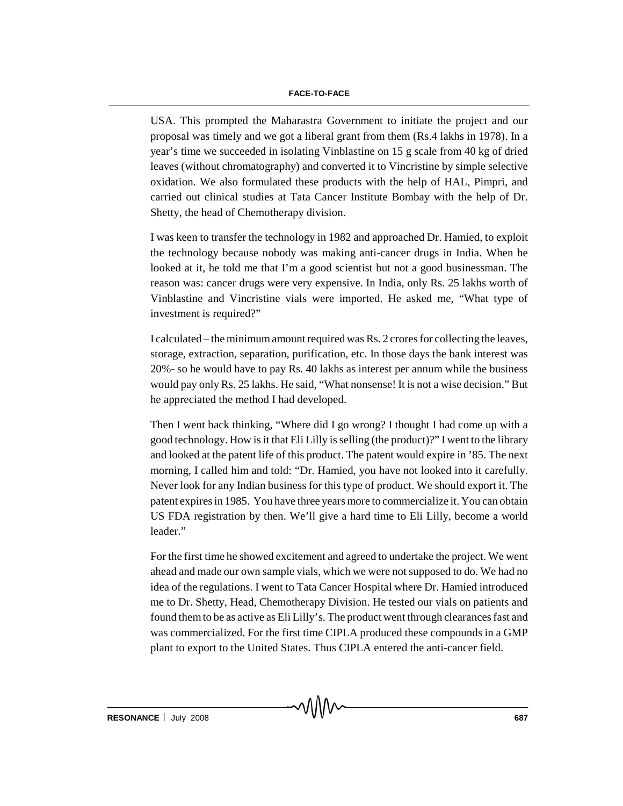USA. This prompted the Maharastra Government to initiate the project and our proposal was timely and we got a liberal grant from them (Rs.4 lakhs in 1978). In a year's time we succeeded in isolating Vinblastine on 15 g scale from 40 kg of dried leaves (without chromatography) and converted it to Vincristine by simple selective oxidation. We also formulated these products with the help of HAL, Pimpri, and carried out clinical studies at Tata Cancer Institute Bombay with the help of Dr. Shetty, the head of Chemotherapy division.

I was keen to transfer the technology in 1982 and approached Dr. Hamied, to exploit the technology because nobody was making anti-cancer drugs in India. When he looked at it, he told me that I'm a good scientist but not a good businessman. The reason was: cancer drugs were very expensive. In India, only Rs. 25 lakhs worth of Vinblastine and Vincristine vials were imported. He asked me, "What type of investment is required?"

I calculated – the minimum amount required was Rs. 2 crores for collecting the leaves, storage, extraction, separation, purification, etc. In those days the bank interest was 20%- so he would have to pay Rs. 40 lakhs as interest per annum while the business would pay only Rs. 25 lakhs. He said, "What nonsense! It is not a wise decision." But he appreciated the method I had developed.

Then I went back thinking, "Where did I go wrong? I thought I had come up with a good technology. How is it that Eli Lilly is selling (the product)?" I went to the library and looked at the patent life of this product. The patent would expire in '85. The next morning, I called him and told: "Dr. Hamied, you have not looked into it carefully. Never look for any Indian business for this type of product. We should export it. The patent expires in 1985. You have three years more to commercialize it. You can obtain US FDA registration by then. We'll give a hard time to Eli Lilly, become a world leader."

For the first time he showed excitement and agreed to undertake the project. We went ahead and made our own sample vials, which we were not supposed to do. We had no idea of the regulations. I went to Tata Cancer Hospital where Dr. Hamied introduced me to Dr. Shetty, Head, Chemotherapy Division. He tested our vials on patients and found them to be as active as Eli Lilly's. The product went through clearances fast and was commercialized. For the first time CIPLA produced these compounds in a GMP plant to export to the United States. Thus CIPLA entered the anti-cancer field.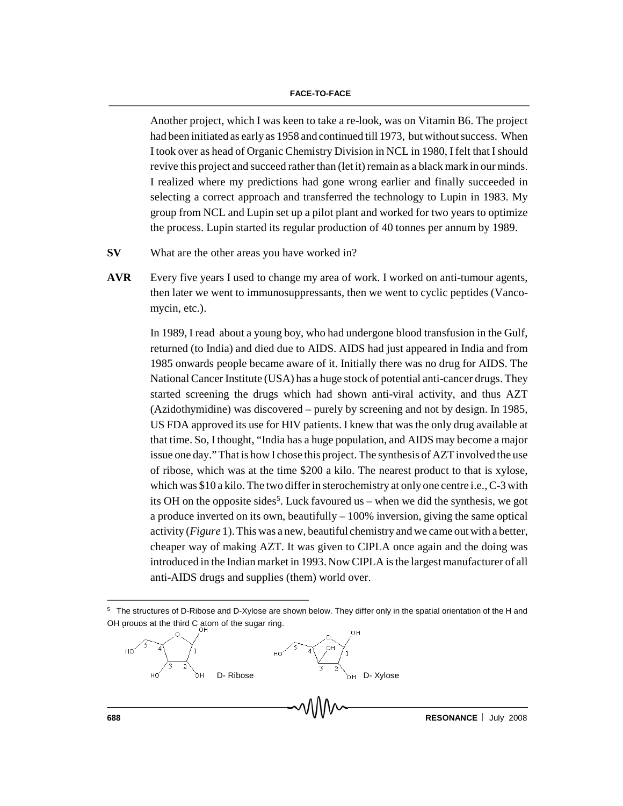Another project, which I was keen to take a re-look, was on Vitamin B6. The project had been initiated as early as 1958 and continued till 1973, but without success. When I took over as head of Organic Chemistry Division in NCL in 1980, I felt that I should revive this project and succeed rather than (let it) remain as a black mark in our minds. I realized where my predictions had gone wrong earlier and finally succeeded in selecting a correct approach and transferred the technology to Lupin in 1983. My group from NCL and Lupin set up a pilot plant and worked for two years to optimize the process. Lupin started its regular production of 40 tonnes per annum by 1989.

- **SV** What are the other areas you have worked in?
- **AVR** Every five years I used to change my area of work. I worked on anti-tumour agents, then later we went to immunosuppressants, then we went to cyclic peptides (Vancomycin, etc.).

In 1989, I read about a young boy, who had undergone blood transfusion in the Gulf, returned (to India) and died due to AIDS. AIDS had just appeared in India and from 1985 onwards people became aware of it. Initially there was no drug for AIDS. The National Cancer Institute (USA) has a huge stock of potential anti-cancer drugs. They started screening the drugs which had shown anti-viral activity, and thus AZT (Azidothymidine) was discovered – purely by screening and not by design. In 1985, US FDA approved its use for HIV patients. I knew that was the only drug available at that time. So, I thought, "India has a huge population, and AIDS may become a major issue one day." That is how I chose this project. The synthesis of AZT involved the use of ribose, which was at the time \$200 a kilo. The nearest product to that is xylose, which was \$10 a kilo. The two differ in sterochemistry at only one centre i.e., C-3 with its OH on the opposite sides<sup>5</sup>. Luck favoured us  $-$  when we did the synthesis, we got a produce inverted on its own, beautifully – 100% inversion, giving the same optical activity (*Figure* 1). This was a new, beautiful chemistry and we came out with a better, cheaper way of making AZT. It was given to CIPLA once again and the doing was introduced in the Indian market in 1993. Now CIPLA is the largest manufacturer of all anti-AIDS drugs and supplies (them) world over.

<sup>5</sup> The structures of D-Ribose and D-Xylose are shown below. They differ only in the spatial orientation of the H and OH groups at the third C atom of the sugar ring.

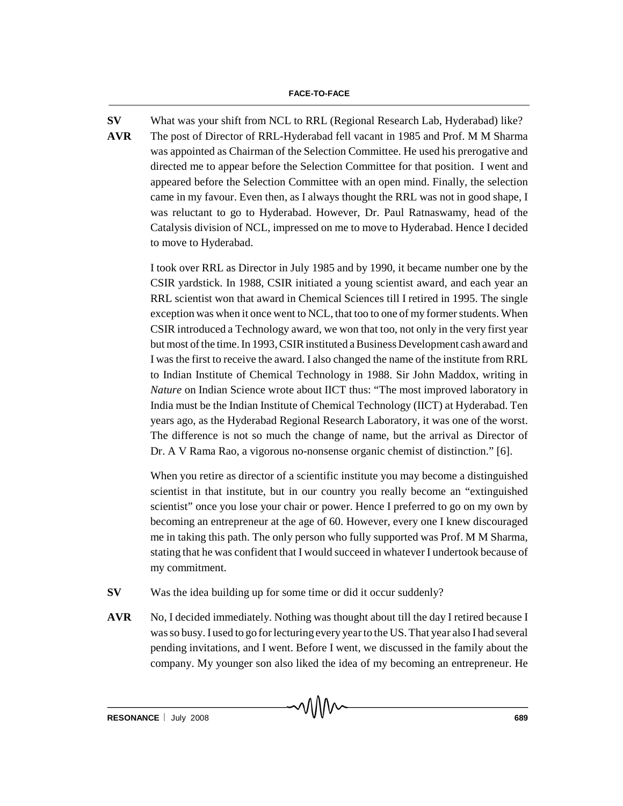**SV** What was your shift from NCL to RRL (Regional Research Lab, Hyderabad) like? **AVR** The post of Director of RRL-Hyderabad fell vacant in 1985 and Prof. M M Sharma was appointed as Chairman of the Selection Committee. He used his prerogative and directed me to appear before the Selection Committee for that position. I went and appeared before the Selection Committee with an open mind. Finally, the selection came in my favour. Even then, as I always thought the RRL was not in good shape, I was reluctant to go to Hyderabad. However, Dr. Paul Ratnaswamy, head of the Catalysis division of NCL, impressed on me to move to Hyderabad. Hence I decided to move to Hyderabad.

> I took over RRL as Director in July 1985 and by 1990, it became number one by the CSIR yardstick. In 1988, CSIR initiated a young scientist award, and each year an RRL scientist won that award in Chemical Sciences till I retired in 1995. The single exception was when it once went to NCL, that too to one of my former students. When CSIR introduced a Technology award, we won that too, not only in the very first year but most of the time. In 1993, CSIR instituted a Business Development cash award and I was the first to receive the award. I also changed the name of the institute from RRL to Indian Institute of Chemical Technology in 1988. Sir John Maddox, writing in *Nature* on Indian Science wrote about IICT thus: "The most improved laboratory in India must be the Indian Institute of Chemical Technology (IICT) at Hyderabad. Ten years ago, as the Hyderabad Regional Research Laboratory, it was one of the worst. The difference is not so much the change of name, but the arrival as Director of Dr. A V Rama Rao, a vigorous no-nonsense organic chemist of distinction." [6].

> When you retire as director of a scientific institute you may become a distinguished scientist in that institute, but in our country you really become an "extinguished scientist" once you lose your chair or power. Hence I preferred to go on my own by becoming an entrepreneur at the age of 60. However, every one I knew discouraged me in taking this path. The only person who fully supported was Prof. M M Sharma, stating that he was confident that I would succeed in whatever I undertook because of my commitment.

- **SV** Was the idea building up for some time or did it occur suddenly?
- **AVR** No, I decided immediately. Nothing was thought about till the day I retired because I was so busy. I used to go for lecturing every year to the US. That year also I had several pending invitations, and I went. Before I went, we discussed in the family about the company. My younger son also liked the idea of my becoming an entrepreneur. He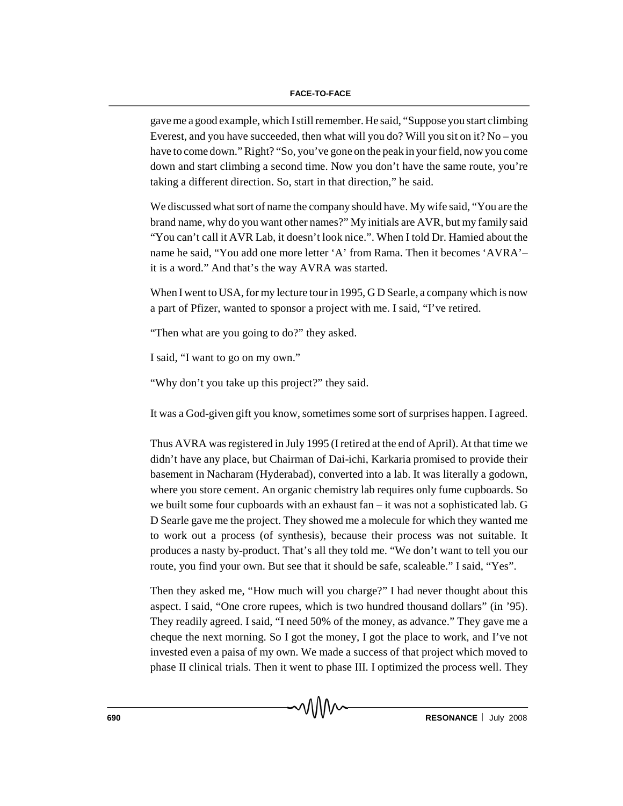gave me a good example, which Istill remember. He said, "Suppose you start climbing Everest, and you have succeeded, then what will you do? Will you sit on it? No – you have to come down." Right? "So, you've gone on the peak in your field, now you come down and start climbing a second time. Now you don't have the same route, you're taking a different direction. So, start in that direction," he said.

We discussed what sort of name the company should have. My wife said, "You are the brand name, why do you want other names?" My initials are AVR, but my family said "You can't call it AVR Lab, it doesn't look nice.". When I told Dr. Hamied about the name he said, "You add one more letter 'A' from Rama. Then it becomes 'AVRA'– it is a word." And that's the way AVRA was started.

When I went to USA, for my lecture tour in 1995, G D Searle, a company which is now a part of Pfizer, wanted to sponsor a project with me. I said, "I've retired.

"Then what are you going to do?" they asked.

I said, "I want to go on my own."

"Why don't you take up this project?" they said.

It was a God-given gift you know, sometimes some sort of surprises happen. I agreed.

Thus AVRA was registered in July 1995 (I retired at the end of April). At that time we didn't have any place, but Chairman of Dai-ichi, Karkaria promised to provide their basement in Nacharam (Hyderabad), converted into a lab. It was literally a godown, where you store cement. An organic chemistry lab requires only fume cupboards. So we built some four cupboards with an exhaust fan – it was not a sophisticated lab. G D Searle gave me the project. They showed me a molecule for which they wanted me to work out a process (of synthesis), because their process was not suitable. It produces a nasty by-product. That's all they told me. "We don't want to tell you our route, you find your own. But see that it should be safe, scaleable." I said, "Yes".

Then they asked me, "How much will you charge?" I had never thought about this aspect. I said, "One crore rupees, which is two hundred thousand dollars" (in '95). They readily agreed. I said, "I need 50% of the money, as advance." They gave me a cheque the next morning. So I got the money, I got the place to work, and I've not invested even a paisa of my own. We made a success of that project which moved to phase II clinical trials. Then it went to phase III. I optimized the process well. They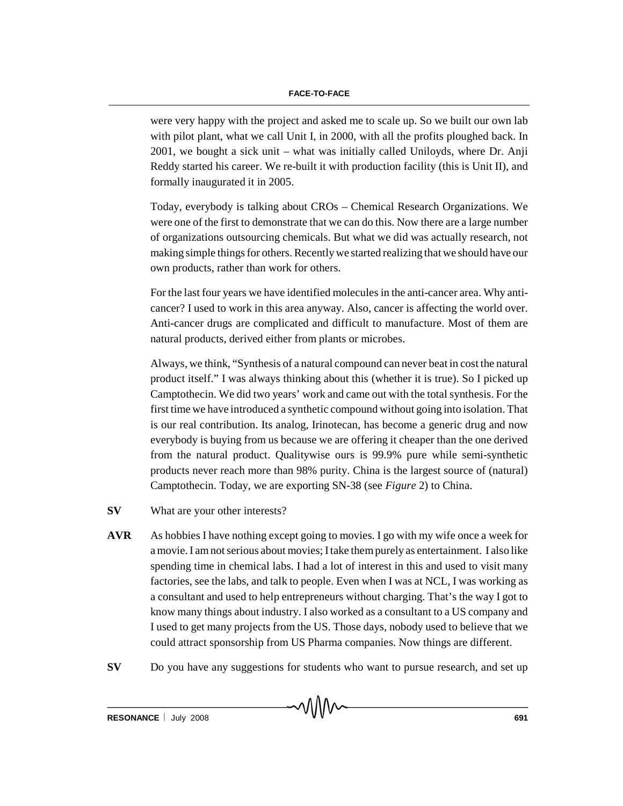were very happy with the project and asked me to scale up. So we built our own lab with pilot plant, what we call Unit I, in 2000, with all the profits ploughed back. In 2001, we bought a sick unit – what was initially called Uniloyds, where Dr. Anji Reddy started his career. We re-built it with production facility (this is Unit II), and formally inaugurated it in 2005.

Today, everybody is talking about CROs – Chemical Research Organizations. We were one of the first to demonstrate that we can do this. Now there are a large number of organizations outsourcing chemicals. But what we did was actually research, not making simple things for others. Recently we started realizing that we should have our own products, rather than work for others.

For the last four years we have identified molecules in the anti-cancer area. Why anticancer? I used to work in this area anyway. Also, cancer is affecting the world over. Anti-cancer drugs are complicated and difficult to manufacture. Most of them are natural products, derived either from plants or microbes.

Always, we think, "Synthesis of a natural compound can never beat in cost the natural product itself." I was always thinking about this (whether it is true). So I picked up Camptothecin. We did two years' work and came out with the total synthesis. For the first time we have introduced a synthetic compound without going into isolation. That is our real contribution. Its analog, Irinotecan, has become a generic drug and now everybody is buying from us because we are offering it cheaper than the one derived from the natural product. Qualitywise ours is 99.9% pure while semi-synthetic products never reach more than 98% purity. China is the largest source of (natural) Camptothecin. Today, we are exporting SN-38 (see *Figure* 2) to China.

- **SV** What are your other interests?
- **AVR** As hobbies I have nothing except going to movies. I go with my wife once a week for a movie. I am not serious about movies; I take them purely as entertainment. I also like spending time in chemical labs. I had a lot of interest in this and used to visit many factories, see the labs, and talk to people. Even when I was at NCL, I was working as a consultant and used to help entrepreneurs without charging. That's the way I got to know many things about industry. I also worked as a consultant to a US company and I used to get many projects from the US. Those days, nobody used to believe that we could attract sponsorship from US Pharma companies. Now things are different.
- **SV** Do you have any suggestions for students who want to pursue research, and set up